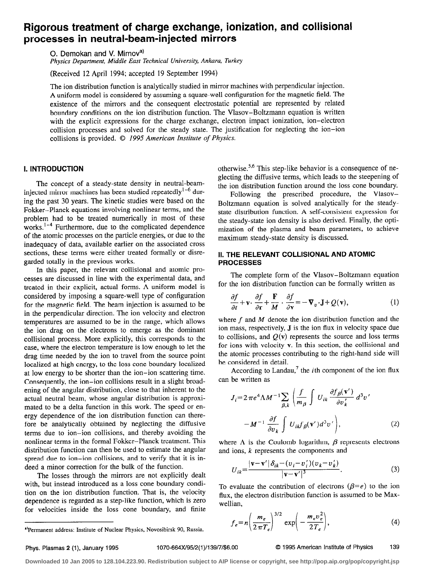# Rigorous treatment of charge exchange, ionization, and collisional processes in neutral-beam-injected mirrors

O. Demokan and V. Mirnov<sup>a)</sup>

Physics Department, Middle East Technical University, Ankara, Turkey

(Received 12 April 1994; accepted 19 September 1994)

The ion distribution function is analytically studied in mirror machines with perpendicular injection. A uniform model is considered by assuming a square-well configuration for the magnetic field. The existence of the mirrors and the consequent electrostatic potential are represented by related boundary conditions on the ion distribution function. The Vlasov-Boltzmann equation is written with the explicit expressions for the charge exchange, electron impact ionization, ion-electron collision processes and solved for the steady state. The justification for neglecting the ion-ion collisions is provided. © 1995 American Institute of Physics.

## I. INTRODUCTION

The concept of a steady-state density in neutral-beaminjected mirror machines has been studied repeatedly<sup>1-6</sup> during the past 30 years. The kinetic studies were based on the Fokker-Planck equations involving nonlinear terms, and the problem had to be treated numerically in most of these works.<sup>1-4</sup> Furthermore, due to the complicated dependence of the atomic processes on the particle energies, or due to the inadequacy of data, available earlier on the associated cross sections, these terms were either treated formally or disregarded totally in the previous works.

In this paper, the relevant collisional and atomic processes are discussed in line with the experimental data, and treated in their explicit, actual forms. A uniform model is considered by imposing a square-well type of configuration for the magnetic field. The beam injection is assumed to be in the perpendicular direction. The ion velocity and electron temperatures are assumed to be in the range, which allows the ion drag on the electrons to emerge as the dominant collisional process. More explicitly, this corresponds to the case, where the electron temperature is low enough to let the drag time needed by the ion to travel from the source point localized at high energy, to the loss cone boundary localized at low energy to be shorter than the ion-ion scattering time. Consequently, the ion-ion collisions result in a slight broadening of the angular distribution, close to that inherent to the actual neutral beam, whose angular distribution is approximated to be a delta function in this work. The speed or energy dependence of the ion distribution function can therefore be analytically obtained by neglecting the diffusive terms due to ion-ion collisions, and thereby avoiding the nonlinear terms in the formal Fokker-Planck treatment. This distribution function can then be used to estimate the angular spread due to ion-ion collisions, and to verify that it is indeed a minor correction for the bulk of the function.

The losses through the mirrors are not explicitly dealt with, but instead introduced as a loss cone boundary condition on the ion distribution function. That is, the velocity dependence is regarded as a step-like function, which is zero for velocities inside the loss cone boundary, and finite otherwise.5,6 This step-like behavior is a consequence of neglecting the diffusive terms, which leads to the steepening of the ion distribution function around the loss cone boundary.

Following the prescribed procedure, the Vlasov-Boltzmann equation is solved analytically for the steadystate distribution function. A self-consistent expression for the steady-state ion density is also derived. Finally, the optimization of the plasma and beam parameters, to achieve maximum steady-state density is discussed.

# II. THE RELEVANT COLLISIONAL AND ATOMIC PROCESSES

The complete form of the Vlasov-Boltzmann equation for the ion distribution function can be formally written as

$$
\frac{\partial f}{\partial t} + \mathbf{v} \cdot \frac{\partial f}{\partial \mathbf{r}} + \frac{\mathbf{F}}{M} \cdot \frac{\partial f}{\partial \mathbf{v}} = -\nabla_v \cdot \mathbf{J} + Q(\mathbf{v}),\tag{1}
$$

where  $f$  and  $M$  denote the ion distribution function and the ion mass, respectively, J is the ion flux in velocity space due to collisions, and  $Q(v)$  represents the source and loss terms for ions with velocity v. In this section, the collisional and the atomic processes contributing to the right-hand side will be considered in detail.

According to Landau,<sup>7</sup> the *i*th component of the ion flux can be written as

$$
J_{i} = 2 \pi e^{4} \Lambda M^{-1} \sum_{\beta,k} \left( \frac{f}{m_{\beta}} \int U_{ik} \frac{\partial f_{\beta}(\mathbf{v}')}{\partial v_{k}'} d^{3} v' - M^{-1} \frac{\partial f}{\partial v_{k}} \int U_{ik} f_{\beta}(\mathbf{v}') d^{3} v' \right),
$$
 (2)

where  $\Lambda$  is the Coulomb logarithm,  $\beta$  represents electrons and ions, k represents the components and

$$
U_{ik} = \frac{|\mathbf{v} - \mathbf{v}'| \delta_{ik} - (v_i - v'_i)(v_k - v'_k)}{|\mathbf{v} - \mathbf{v}'|^3}.
$$
 (3)

To evaluate the contribution of electrons  $(\beta = e)$  to the ion flux, the electron distribution function is assumed to be Maxwellian,

$$
f_e = n \left( \frac{m_e}{2 \pi T_e} \right)^{3/2} \exp \left( - \frac{m_e v_e^2}{2 T_e} \right), \tag{4}
$$

# Phys. Plasmas 2 (1), January 1995 1070-664X/95/2(1)/139/7/\$6.00 © 1995 American Institute of Physics 139

<sup>&</sup>quot;Permanent address: Institute of Nuclear Physics, Novosibirsk 90, Russia.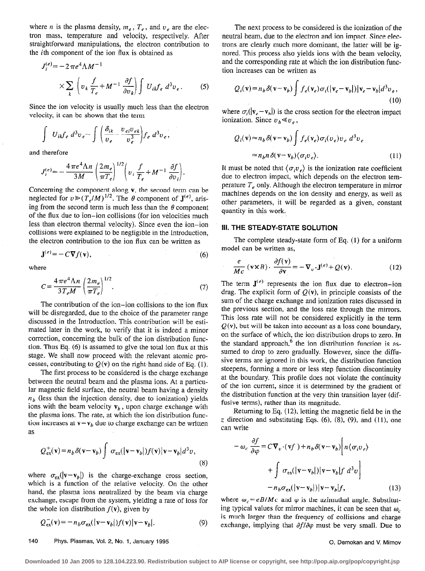where *n* is the plasma density,  $m_e$ ,  $T_e$ , and  $v_e$  are the electron mass, temperature and velocity, respectively, After straightforward manipulations, the electron contribution to the ith component of the ion flux is obtained as

$$
J_i^{(e)} = -2 \pi e^4 \Lambda M^{-1}
$$
  
 
$$
\times \sum_k \left( v_k \frac{f}{T_e} + M^{-1} \frac{\partial f}{\partial v_k} \right) \int U_{ik} f_e d^3 v_e.
$$
 (5)

Since the ion velocity is usually much less than the electron velocity, it can be shown that the term

$$
\int U_{ik}f_e d^3v_e \sim \int \bigg(\frac{\delta_{ik}}{v_e} - \frac{v_{ei}v_{ek}}{v_e^3}\bigg)f_e d^3v_e,
$$

and therefore

$$
J_i^{(e)} \approx -\frac{4\pi e^4 \Lambda n}{3M} \left(\frac{2m_e}{\pi T_e}\right)^{1/2} \left(v_i \frac{f}{T_e} + M^{-1} \frac{\partial f}{\partial v_i}\right).
$$

Concerning the component along v, the second term can be neglected for  $v \ge (T_e/M)^{1/2}$ . The  $\theta$  component of  $J^{(e)}$ , arising from the second term is much less than the  $\theta$  component of the flux due to ion-ion collisions (for ion velocities much Iess than electron thermal velocity), Since even the ion-ion collisions were explained to be negligible in the Introduction, the electron contribution to the ion flux can be written as

$$
\mathbf{J}^{(e)} = -C\nabla f(\mathbf{v}),\tag{6}
$$

where

$$
C = \frac{4\pi e^4 \Lambda n}{3T_e M} \left(\frac{2m_e}{\pi T_e}\right)^{1/2}.
$$
 (7)

The contribution of the ion-ion collisions to the ion flux will be disregarded, due to the choice of the parameter range discussed in the Introduction. This contribution will be estimated later in the work, to verify that it is indeed a minor correction, concerning the bulk of the ion distribution function. Thus Eq. (6) is assumed to give the total ion flux at this stage. We shall now proceed with the relevant atomic processes, contributing to  $Q(v)$  on the right-hand side of Eq. (1),

The first process to be considered is the charge exchange between the neutral beam and the plasma ions. At a particular magnetic field surface, the neutral beam having a density  $n<sub>b</sub>$  (less than the injection density, due to ionization) yields ions with the beam velocity  $v<sub>b</sub>$ , upon charge exchange with the plasma ions. The rate, at which the ion distribution function increases at  $\mathbf{v}=\mathbf{v}_b$  due to charge exchange can be written as

$$
Q_{\text{ex}}^{+}(\mathbf{v}) = n_b \delta(\mathbf{v} - \mathbf{v}_b) \int \sigma_{\text{ex}}(|\mathbf{v} - \mathbf{v}_b|) f(\mathbf{v}) |\mathbf{v} - \mathbf{v}_b| d^3 v,
$$
\n(8)

where  $\sigma_{ex}(|\mathbf{v}-\mathbf{v}_b|)$  is the charge-exchange cross section, which is a function of the relative velocity. On the other hand, the plasma ions neutralized by the beam via charge exchange, escape from the system, yielding a rate of loss for the whole ion distribution  $f(\mathbf{v})$ , given by

$$
Q_{\text{ex}}^{-}(\mathbf{v}) = -n_b \sigma_{\text{ex}}(|\mathbf{v} - \mathbf{v}_b|) f(\mathbf{v}) |\mathbf{v} - \mathbf{v}_b|.
$$
 (9)

The next process to be considered is the ionization of the neutral beam, due to the electron and ion impact. Since electrons are clearly much more dominant, the latter will be ignored. This process also yields ions with the beam velocity, and the corresponding rate at which the ion distribution function increases can be written as

$$
Q_i(\mathbf{v}) = n_b \delta(\mathbf{v} - \mathbf{v}_b) \int f_e(\mathbf{v}_e) \sigma_i(|\mathbf{v}_e - \mathbf{v}_b|) |\mathbf{v}_e - \mathbf{v}_b| d^3 v_e,
$$
\n(10)

where  $\sigma_i(|\mathbf{v}_e - \mathbf{v}_b|)$  is the cross section for the electron impact ionization. Since  $v_b \ll v_s$ ,

$$
Q_i(\mathbf{v}) \approx n_b \delta(\mathbf{v} - \mathbf{v}_b) \int f_e(\mathbf{v}_e) \sigma_i(\nu_e) \nu_e \ d^3 \nu_e
$$
  
=  $n_b n \delta(\mathbf{v} - \mathbf{v}_b) \langle \sigma_i \nu_e \rangle.$  (11)

It must be noted that  $\langle \sigma_i v_e \rangle$  is the ionization rate coefficient due to electron impact, which depends on the electron temperature  $T_e$  only. Although the electron temperature in mirror machines depends on the ion density and energy, as well as other parameters, it will be regarded as a given, constant quantity in this work.

### 111. THE STEADY-STATE SOLUTlON

The complete steady-state form of Eq. (1) for a uniform model can be written as,

$$
\frac{e}{Mc} (v \times B) \cdot \frac{\partial f(v)}{\partial v} = -\nabla_v \cdot J^{(e)} + Q(v). \tag{12}
$$

The term  $J^{(e)}$  represents the ion flux due to electron-ion drag. The explicit form of  $Q(v)$ , in principle consists of the sum of the charge exchange and ionization rates discussed in the previous section, and the loss rate through the mirrors. This loss rate will not be considered explicitly in the term  $Q(v)$ , but will be taken into account as a loss cone boundary, on the surface of which, the ion distribution drops to zero. In the standard approach, $6$  the ion distribution function is assumed to drop to zero gradually. However, since the diffusive terms are ignored in this work, the distribution function steepens, forming a more or less step function discontinuity at the boundary. This profile does not violate the continuity of the ion current, since it is determined by the gradient of the distribution 'function at the very thin transition layer (diffusive terms), rather than its magnitude.

Returning to Eq. (12), letting the magnetic field be in the z direction and substituting Eqs.  $(6)$ ,  $(8)$ ,  $(9)$ , and  $(11)$ , one can write

$$
-\omega_c \frac{\partial f}{\partial \varphi} = C \nabla_v \cdot (\mathbf{v}f) + n_b \delta(\mathbf{v} - \mathbf{v}_b) \Big[ n \langle \sigma_i v_e \rangle
$$
  
+ 
$$
\int \sigma_{\text{ex}}(|\mathbf{v} - \mathbf{v}_b|) |\mathbf{v} - \mathbf{v}_b| f d^3 v \Big]
$$
  
- 
$$
n_b \sigma_{\text{ex}}(|\mathbf{v} - \mathbf{v}_b|) |\mathbf{v} - \mathbf{v}_b| f,
$$
 (13)

where  $\omega_c = eB/Mc$  and  $\varphi$  is the azimuthal angle. Substituting typical values for mirror machines, it can be seen that  $\omega_c$ is much larger than the frequency of collisions and charge exchange, implying that  $\partial f/\partial \varphi$  must be very small. Due to

### 140 Phys. Plasmas, Vol. 2, No. 1, January 1995 0. Demokan and V. Mirnov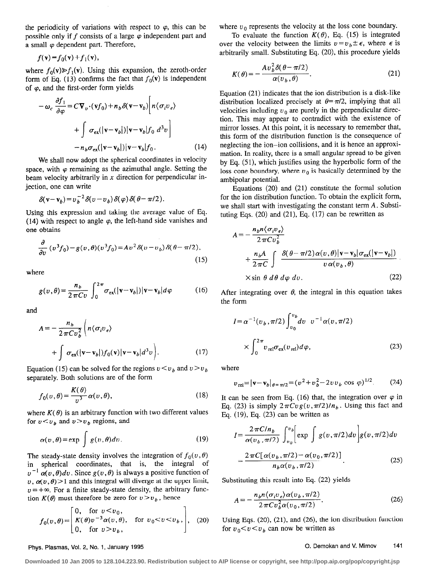the periodicity of variations with respect to  $\varphi$ , this can be possible only if f consists of a large  $\varphi$  independent part and a small  $\varphi$  dependent part. Therefore,

 $f(\mathbf{v}) = f_0(\mathbf{v}) + f_1(\mathbf{v}),$ 

where  $f_0(\mathbf{v}) \geq f_1(\mathbf{v})$ . Using this expansion, the zeroth-order form of Eq. (13) confirms the fact that  $f_0(\mathbf{v})$  is independent of  $\varphi$ , and the first-order form yields

$$
-\omega_c \frac{\partial f_1}{\partial \varphi} = C \nabla_v \cdot (\mathbf{v} f_0) + n_b \delta(\mathbf{v} - \mathbf{v}_b) \left[ n \langle \sigma_i v_e \rangle \right]
$$

$$
+ \int \sigma_{\text{ex}}(|\mathbf{v} - \mathbf{v}_b|) |\mathbf{v} - \mathbf{v}_b| f_0 \ d^3 v \Big]
$$

$$
- n_b \sigma_{\text{ex}}(|\mathbf{v} - \mathbf{v}_b|) |\mathbf{v} - \mathbf{v}_b| f_0. \qquad (14)
$$

We shall now adopt the spherical coordinates in velocity space, with  $\varphi$  remaining as the azimuthal angle. Setting the beam velocity arbitrarily in  $x$  direction for perpendicular injection, one can write

$$
\delta(\mathbf{v}-\mathbf{v}_b)=v_b^{-2}\delta(v-v_b)\delta(\varphi)\delta(\theta-\pi/2).
$$

Using this expression and taking the average value of Eq. (14) with respect to angle  $\varphi$ , the left-hand side vanishes and one obtains

$$
\frac{\partial}{\partial v} \left( v^3 f_0 \right) - g(v, \theta) \left( v^3 f_0 \right) = A v^2 \delta(v - v_b) \delta(\theta - \pi/2),\tag{15}
$$

where

$$
g(v,\theta) = \frac{n_b}{2\pi C v} \int_0^{2\pi} \sigma_{\text{ex}}(|\mathbf{v} - \mathbf{v}_b|) |\mathbf{v} - \mathbf{v}_b| d\varphi \tag{16}
$$

and

$$
A = -\frac{n_b}{2\pi C v_b^2} \left( n \langle \sigma_i v_e \rangle \right)
$$
  
+ 
$$
\int \sigma_{ex} (|\mathbf{v} - \mathbf{v}_b|) f_0(\mathbf{v}) |\mathbf{v} - \mathbf{v}_b| d^3 v \right).
$$
 (17)

Equation (15) can be solved for the regions  $v \lt v_b$  and  $v \gt v_b$ separately. Both solutions are of the form

$$
f_0(v,\theta) = \frac{K(\theta)}{v^3} \alpha(v,\theta),
$$
 (18)

where  $K(\theta)$  is an arbitrary function with two different values for  $v < v_b$  and  $v > v_b$  regions, and

$$
\alpha(v,\theta) = \exp \int g(v,\theta) dv. \tag{19}
$$

The steady-state density involves the integration of  $f_0(v, \theta)$ in spherical coordinates, that is, the integral of  $v^{-1} \alpha(v,\theta) dv$ . Since  $g(v,\theta)$  is always a positive function of  $v, \alpha(v, \theta)$  > 1 and this integral will diverge at the upper limit,  $v = +\infty$ . For a finite steady-state density, the arbitrary function  $K(\theta)$  must therefore be zero for  $v > v_b$ , hence

$$
f_0(v,\theta) = \begin{bmatrix} 0, & \text{for } v < v_0, \\ K(\theta)v^{-3}\alpha(v,\theta), & \text{for } v_0 < v < v_b, \\ 0, & \text{for } v > v_b, \end{bmatrix}, \quad (20)
$$

where  $v_0$  represents the velocity at the loss cone boundary.

To evaluate the function  $K(\theta)$ , Eq. (15) is integrated over the velocity between the limits  $v = v_b \pm \epsilon$ , where  $\epsilon$  is arbitrarily small. Substituting Eq. (20), this procedure yields

$$
K(\theta) = -\frac{Av_b^2 \delta(\theta - \pi/2)}{\alpha(v_b, \theta)}.
$$
 (21)

Equation (21) indicates that the ion distribution is a disk-like distribution localized precisely at  $\theta = \pi/2$ , implying that all velocities including  $v_0$  are purely in the perpendicular direction. This may appear to contradict with the existence of mirror losses. At this point, it is necessary to remember that, this form of the distribution function is the consequence of neglecting the ion-ion collisions, and it is hence an approximation. In reality, there is a small angular spread to be given by Eq. (51), which justifies using the hyperbolic form of the loss cone boundary, where  $v_0$  is basically determined by the ambipolar potential.

Equations  $(20)$  and  $(21)$  constitute the formal solution for the ion distribution function. To obtain the explicit form, we shall start with investigating the constant term A. Substituting Eqs.  $(20)$  and  $(21)$ , Eq.  $(17)$  can be rewritten as

$$
A = -\frac{n_b n \langle \sigma_i v_e \rangle}{2 \pi C v_b^2} + \frac{n_b A}{2 \pi C} \int \frac{\delta(\theta - \pi/2) \alpha(v, \theta) |\mathbf{v} - \mathbf{v}_b| \sigma_{\text{ex}}(|\mathbf{v} - \mathbf{v}_b|)}{v \alpha(v_b, \theta)} + \frac{n_b A}{2 \pi C} \int \frac{\delta(\theta - \pi/2) \alpha(v, \theta) |\mathbf{v} - \mathbf{v}_b| \sigma_{\text{ex}}(|\mathbf{v} - \mathbf{v}_b|)}{(22)}
$$

After integrating over  $\theta$ , the integral in this equation takes the form

$$
I = \alpha^{-1}(v_b, \pi/2) \int_{v_0}^{v_b} dv \quad v^{-1} \alpha(v, \pi/2)
$$

$$
\times \int_0^{2\pi} v_{\text{rel}} \sigma_{\text{ex}}(v_{\text{rel}}) d\varphi,
$$
(23)

where

$$
v_{\text{rel}} = |\mathbf{v} - \mathbf{v}_b|_{\theta = \pi/2} = (v^2 + v_b^2 - 2vv_b \cos \varphi)^{1/2}.
$$
 (24)

It can be seen from Eq. (16) that, the integration over  $\varphi$  in Eq. (23) is simply  $2\pi C \nu g(v, \pi/2)/n_b$ . Using this fact and Eq. (19), Eq. (23) can be written as

$$
I = \frac{2\pi C/n_b}{\alpha(v_b, \pi/2)} \int_{v_0}^{v_b} \left[ \exp \int g(v, \pi/2) dv \right] g(v, \pi/2) dv
$$
  
= 
$$
\frac{2\pi C[\alpha(v_b, \pi/2) - \alpha(v_0, \pi/2)]}{n_b \alpha(v_b, \pi/2)}.
$$
 (25)

Substituting this result into Eq. (22) yields

$$
A = -\frac{n_b n \langle \sigma_i v_e \rangle \alpha(v_b, \pi/2)}{2 \pi C v_b^2 \alpha(v_0, \pi/2)}.
$$
 (26)

Using Eqs.  $(20)$ ,  $(21)$ , and  $(26)$ , the ion distribution function for  $v_0 < v < v_b$  can now be written as

## Phys. Plasmas, Vol. 2, No. 1, January 1995 **0. Demokan and V. Mirnov** 141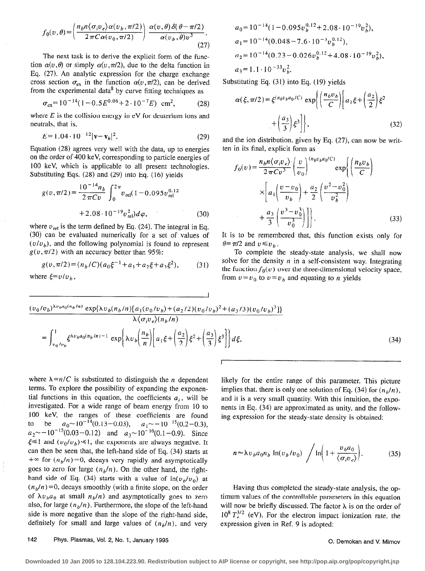$$
f_0(v,\theta) = \left(\frac{n_b n \langle \sigma_i v_e \rangle \alpha(v_b, \pi/2)}{2 \pi C \alpha(v_0, \pi/2)}\right) \frac{\alpha(v,\theta) \delta(\theta - \pi/2)}{\alpha(v_b, \theta) v^3}.
$$
\n(27)

The next task is to derive the explicit form of the function  $\alpha(v,\theta)$  or simply  $\alpha(v,\pi/2)$ , due to the delta function in Eq. (27). An analytic expression for the charge exchange cross section  $\sigma_{ex}$  in the function  $\alpha(v, \pi/2)$ , can be derived from the experimental data<sup>8</sup> by curve fitting techniques as

$$
\sigma_{\rm ex} = 10^{-14} (1 - 0.5E^{0.06} + 2 \cdot 10^{-7}E) \, \text{ cm}^2, \tag{28}
$$

where  $E$  is the collision energy in eV for deuterium ions and neutrals, that is,

$$
E = 1.04 \cdot 10^{-12} |\mathbf{v} - \mathbf{v}_b|^2. \tag{29}
$$

Equation (28) agrees very well with the data, up to energies on the order of 400 keV, corresponding to particle energies of 100 keV, which is applicable to all present technologies. Substituting Eqs. (28) and (29) into Eq. (16) yields

$$
g(v, \pi/2) = \frac{10^{-14} n_b}{2 \pi C v} \int_0^{2\pi} v_{\text{rel}} (1 - 0.095 v_{\text{rel}}^{0.12}
$$
  
+ 2.08 \cdot 10<sup>-19</sup> v<sub>rel</sub><sup>2</sup>) d $\varphi$ , (30)

where  $v_{rel}$  is the term defined by Eq. (24). The integral in Eq. (30) can be evaluated numerically for a set of values of  $(v/v<sub>b</sub>)$ , and the following polynomial is found to represent  $g(v, \pi/2)$  with an accuracy better than 95%:

$$
g(v, \pi/2) = (n_b/C)(a_0\xi^{-1} + a_1 + a_2\xi + a_3\xi^2),
$$
 (31)

where  $\xi = v/v_h$ ,

$$
a_0 = 10^{-14} (1 - 0.095 v_b^{0.12} + 2.08 \cdot 10^{-19} v_b^2),
$$
  
\n
$$
a_1 = 10^{-14} (0.048 - 7.6 \cdot 10^{-3} v_b^{0.12}),
$$
  
\n
$$
a_2 = 10^{-14} (0.23 - 0.026 v_b^{0.12} + 4.08 \cdot 10^{-19} v_b^2).
$$
  
\n
$$
a_3 = 1.1 \cdot 10^{-33} v_b^2.
$$

Substituting Eq. (31) into Eq. (19) yields

$$
\alpha(\xi, \pi/2) = \xi^{(n_b v_b a_0/C)} \exp\left\{ \left( \frac{n_b v_b}{C} \right) \left[ a_1 \xi + \left( \frac{a_2}{2} \right) \xi^2 + \left( \frac{a_3}{3} \right) \xi^3 \right] \right\},\tag{32}
$$

and the ion distribution, given by Eq. (27), can now be written in its final, explicit form as

$$
f_0(v) = \frac{n_b n \langle \sigma_i v_e \rangle}{2 \pi C v^3} \left( \frac{v}{v_0} \right)^{(n_b v_b a_0/C)} \exp \left\{ \left( \frac{n_b v_b}{C} \right) \times \left[ a_1 \left( \frac{v - v_0}{v_b} \right) + \frac{a_2}{2} \left( \frac{v^2 - v_0^2}{v_b^2} \right) \right] + \frac{a_3}{3} \left( \frac{v^3 - v_0^3}{v_0^3} \right) \right\}.
$$
 (33)

It is to be remembered that, this function exists only for  $\theta = \pi/2$  and  $v \leq v_h$ .

To complete the steady-state analysis, we shall now solve for the density  $n$  in a self-consistent way. Integrating the function  $f_0(v)$  over the three-dimensional velocity space, from  $v = v_0$  to  $v = v_b$  and equating to n yields

$$
\frac{(v_0/v_b)^{\lambda v_b a_0(n_b/n)} \exp\{\lambda v_b(n_b/n)[a_1(v_0/v_b) + (a_2/2)(v_0/v_b)^2 + (a_3/3)(v_0/v_b)^3]\}}{\lambda \langle \sigma_i v_e \rangle (n_b/n)} = \int_{v_0/v_b}^1 \xi^{\lambda v_b a_0(n_b/n) - 1} \exp\left\{\lambda v_b \left(\frac{n_b}{n}\right) \left[a_1 \xi + \left(\frac{a_2}{2}\right) \xi^2 + \left(\frac{a_3}{3}\right) \xi^3\right]\right\} d\xi,
$$
\n(34)

 $\Gamma$ 

where  $\lambda = n/C$  is substituted to distinguish the *n* dependent terms. To explore the possibility of expanding the exponential functions in this equation, the coefficients  $a_i$ , will be investigated. For a wide range of beam energy from IO to 100 keV, the ranges of these coefficients are found to be  $a_0 \sim 10^{-14}(0.13-0.03)$ ,  $a_1 \sim -10^{-13}(0.2-0.3)$  $a_2$  -10  $\cdot$  (0.03-0.12) and  $a_3$  -10  $\cdot$  (0.1-0.9). Since  $\xi \leq 1$  and  $(v_0/v_b) \leq 1$ , the exponents are always negative. It can then be seen that, the left-hand side of Eq. (34) starts at  $f(x) + \infty$  for  $(n_b/n) = 0$ , decays very rapidly and asymptotically goes to zero for large  $(n_h/n)$ . On the other hand, the righthand side of Eq. (34) starts with a value of  $\ln(v_b/v_0)$  at  $(n_b/n) = 0$ , decays smoothly (with a finite slope, on the order of  $\lambda v_b a_0$  at small  $n_b/n$ ) and asymptotically goes to zero also, for large  $(n_b/n)$ . Furthermore, the slope of the left-hand side is more negative than the slope of the right-hand side, definitely for small and large values of  $(n_b/n)$ , and very

likely for the entire range of this parameter. This picture implies that, there is only one solution of Eq. (34) for  $(n<sub>b</sub>/n)$ , and it is a very small quantity. With this intuition, the exponents in Eq. (34) are approximated as unity, and the following expression for the steady-state density is obtained:

$$
n \approx \lambda v_b a_0 n_b \ln(v_b/v_0) / \ln\left(1 + \frac{v_b a_0}{\langle \sigma_i v_c \rangle}\right).
$$
 (35)

Having thus completed the steady-state analysis, the optimum values of the controllable parameters in this equation will now be briefly discussed. The factor  $\lambda$  is on the order of  $10^8 T_c^{3/2}$  (eV). For the electron impact ionization rate, the expression given in Ref. 9 is adopted:

# 142 Phys. Plasmas, Vol. 2, No. 1, January 1995

0. Demokan and V. Mirnov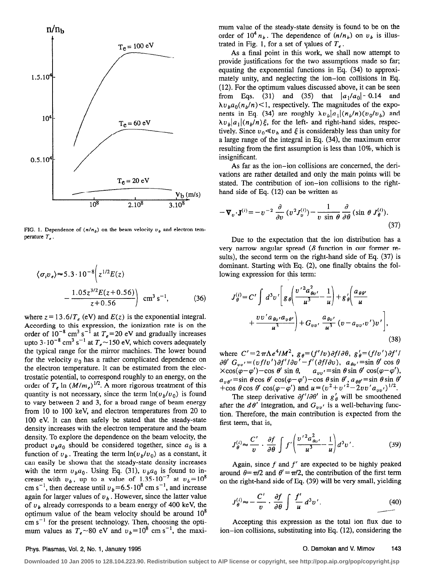

FIG. 1. Dependence of  $(n/n_b)$  on the beam velocity  $v_b$  and electron temperature  $T_e$ .

$$
\langle \sigma_i v_e \rangle \approx 5.3 \cdot 10^{-8} \left( z^{1/2} E(z) - \frac{1.05 z^{3/2} E(z + 0.56)}{z + 0.56} \right) \text{ cm}^3 \text{ s}^{-1}, \tag{36}
$$

where  $z = 13.6/T_e$  (eV) and  $E(z)$  is the exponential integral. According to this expression, the ionization rate is on the order of 10<sup>-</sup> cm<sup>3</sup> s<sup>-1</sup> at  $T_e$ =20 eV and gradually increases upto 3 $\cdot$  10<sup>-8</sup> cm<sup>3</sup> s<sup>-1</sup> at  $T_e \sim$  150 eV, which covers adequately the typical range for the mirror machines. The lower bound for the velocity  $v_0$  has a rather complicated dependence on the electron temperature. It can be estimated from the electrostatic potential, to correspond roughly to an energy, on the order of T,  $\ln (M/m_e)^{1/2}$ . A more rigorous treatment of this quantity is not necessary, since the term  $\ln(v_b/v_0)$  is found to vary between 2 and 3, for a broad range of beam energy from 10 to 100 keV, and electron temperatures from 20 to 100 eV. It can then safely be stated that the steady-state density increases with the electron temperature and the beam density. To explore the dependence on the beam velocity, the product  $v_b a_0$  should be considered together, since  $a_0$  is a function of  $v<sub>b</sub>$ . Treating the term  $ln(v<sub>b</sub>/v<sub>0</sub>)$  as a constant, it can easily be shown that the steady-state density increases with the term  $v_b a_0$ . Using Eq. (31),  $v_b a_0$  is found to increase with  $v<sub>b</sub>$ , up to a value of 1.35 $\cdot 10^{-7}$  at  $v<sub>b</sub>=10^{8}$ cm s<sup>-1</sup>, then decrease until  $v_b = 6.5 \cdot 10^{\circ}$  cm s<sup>-1</sup>, and increase again for larger values of  $v<sub>b</sub>$ . However, since the latter value of  $v_b$  already corresponds to a beam energy of 400 keV, the optimum value of the beam velocity should be around  $10<sup>8</sup>$  $cm s^{-1}$  for the present technology. Then, choosing the optimum values as  $T_e \sim 80$  eV and  $v_b = 10^8$  cm s<sup>-1</sup>, the maximum value of the steady-state density is found to be on the order of  $10^4 n_b$ . The dependence of  $(n/n_b)$  on  $u_b$  is illustrated in Fig. 1, for a set of values of  $T_e$ .

As a final point in this work, we shall now attempt to provide justifications for the two assumptions made so far; equating the exponential functions in Eq. (34) to approximately unity, and neglecting the ion-ion collisions in Eq. (12). For the optimum values discussed above, it can be seen from Eqs. (31) and (35) that  $|a_1/a_0|$  -0.14 and  $\lambda v_b a_0(n_b/n)$  < 1, respectively. The magnitudes of the exponents in Eq. (34) are roughly  $\lambda v_b |a_1|(n_b/n)(v_0/v_b)$  and  $\lambda v_b |a_1| (n_b/n) \xi$ , for the left- and right-hand sides, respectively. Since  $v_0 \ll v_b$  and  $\xi$  is considerably less than unity for a large range of the integral in Eq. (34), the maximum error resulting from the first assumption is less than 10%, which is insignificant.

As far as the ion-ion collisions are concerned, the derivations are rather detailed and only the main points will be stated. The contribution of ion-ion collisions to the righthand side of Eq. (12) can be written as

$$
-\nabla_v \cdot \mathbf{J}^{(i)} = -v^{-2} \frac{\partial}{\partial v} (v^2 J_v^{(i)}) - \frac{1}{v \sin \theta} \frac{\partial}{\partial \theta} (\sin \theta J_\theta^{(i)}).
$$
\n(37)

Due to the expectation that the ion distribution has a very narrow angular spread ( $\delta$  function in our former results), the second term on the right-hand side of Eq. (37) is dominant. Starting with Eq. (2), one finally obtains the following expression for this term:

$$
J_{\theta}^{(i)} = C' \int d^3 v' \left[ g_{\theta} \left( \frac{v'^2 a_{\theta v'}^2}{u^3} - \frac{1}{u} \right) + g'_{\theta} \left( \frac{a_{\theta \theta'}}{u} + \frac{v v' a_{\theta v'} a_{\theta \theta'}}{u^3} + G_{v v'} \frac{a_{\theta v'}}{u^3} (v - a_{v v'} v') v' \right],
$$
\n(38)

where  $C' = 2\pi\Lambda e^4/M^2$ ,  $g_{\theta} = (f'/v) \partial f/\partial \theta$ ,  $g'_{\theta} = (f/v')$  $\partial \theta' G_{\mu\nu'}=(vf/v')\partial f'/\partial v'-f'(\partial f/\partial v)$ ,  $a_{\theta\nu'}=\sin \theta' \cos \theta$  $\times$ cos( $\varphi-\varphi'$ )-cos  $\theta'$  sin  $\theta$ ,  $a_{\nu\nu'}$ =sin  $\theta$  sin  $\theta'$  cos( $\varphi-\varphi'$ ),  $a_{\nu\theta'}=$ sin  $\theta$  cos  $\theta'$  cos( $\varphi-\varphi'$ ) - cos  $\theta$  sin  $\theta'$ ,  $a_{\theta\theta'}=$ sin  $\theta$  sin  $\theta'$ +cos  $\theta$  cos  $\theta'$  cos( $\varphi-\varphi'$ ) and  $u=(v^2+u'^2-2uv'a_{nn'})^{1/2}$ .

The steep derivative  $\partial f'/\partial \theta'$  in  $g'_{\theta}$  will be smoothened after the  $d\theta'$  integration, and  $G_{nn'}$  is a well-behaving function. Therefore, the main contribution is expected from the first term, that is,

$$
J_{\theta}^{(i)} \approx \frac{C'}{v} \cdot \frac{\partial f}{\partial \theta} \int f' \left( \frac{v'^2 a_{\theta v'}^2}{u^3} - \frac{1}{u} \right) d^3 v'.
$$
 (39)

Again, since  $f$  and  $f'$  are expected to be highly peaked around  $\theta = \pi/2$  and  $\theta' = \pi/2$ , the contribution of the first term on the right-hand side of Eq. (39) will be very small, yielding

$$
J_{\theta}^{(i)} \approx -\frac{C'}{v} \cdot \frac{\partial f}{\partial \theta} \int \frac{f'}{u} d^3 v'.
$$
 (40)

Accepting this expression as the total ion flux due to ion-ion collisions, substituting into Eq. (12), considering the

### Phys. Plasmas, Vol. 2, No. 1, January 1995 **0. Demokan and V. Mimov 143**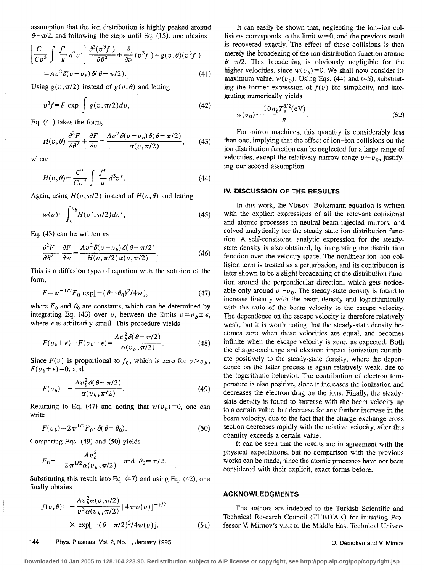assumption that the ion distribution is highly peaked around  $\theta \sim \pi/2$ , and following the steps until Eq. (15), one obtains

$$
\left[\frac{C'}{Cv^3}\int \frac{f'}{u} d^3v'\right] \frac{\partial^2(v^3f)}{\partial \theta^2} + \frac{\partial}{\partial v} (v^3f) - g(v, \theta)(v^3f)
$$
  
=  $Av^2 \delta(v - v_b) \delta(\theta - \pi/2)$ . (41)

Using  $g(v, \pi/2)$  instead of  $g(v, \theta)$  and letting

$$
v^3 f = F \exp \int g(v, \pi/2) dv,
$$
 (42)

Eq. (41) takes the form,

$$
H(v,\theta)\frac{\partial^2 F}{\partial \theta^2} + \frac{\partial F}{\partial v} = \frac{Av^2 \delta(v-v_b) \delta(\theta - \pi/2)}{\alpha(v,\pi/2)},\qquad(43)
$$

where

$$
H(v,\theta) = \frac{C'}{Cv^3} \int \frac{f'}{u} d^3v'.
$$
 (44)

Again, using  $H(v, \pi/2)$  instead of  $H(v, \theta)$  and letting

$$
w(v) = \int_{v}^{v_b} H(v', \pi/2) dv',
$$
 (45)

Eq. (43) can be written as

$$
\frac{\partial^2 F}{\partial \theta^2} - \frac{\partial F}{\partial w} = \frac{Av^2 \delta(v - v_b) \delta(\theta - \pi/2)}{H(v, \pi/2) \alpha(v, \pi/2)}.
$$
(46)

This is a diffusion type of equation with the solution of the form,

$$
F = w^{-1/2} F_0 \exp[-(\theta - \theta_0)^2 / 4w], \tag{47}
$$

where  $F_0$  and  $\theta_0$  are constants, which can be determined by integrating Eq. (43) over v, between the limits  $v = v_b \pm \epsilon$ , where  $\epsilon$  is arbitrarily small. This procedure yields

$$
F(v_b + \epsilon) - F(v_b - \epsilon) = \frac{Av_b^2 \delta(\theta - \pi/2)}{\alpha(v_b, \pi/2)}.
$$
 (48)

Since  $F(v)$  is proportional to  $f_0$ , which is zero for  $v > v_b$ ,  $F(v_h+\epsilon)=0$ , and

$$
F(v_b) = -\frac{Av_b^2 \delta(\theta - \pi/2)}{\alpha(v_b, \pi/2)}.
$$
\n(49)

Returning to Eq. (47) and noting that  $w(v_b) = 0$ , one can write

$$
F(v_b) = 2\pi^{1/2} F_0 \cdot \delta(\theta - \theta_0). \tag{50}
$$

Comparing Eqs. (49) and (50) yields

$$
F_0 = -\frac{Av_b^2}{2\pi^{1/2}\alpha(v_b, \pi/2)} \text{ and } \theta_0 = \pi/2.
$$

Substituting this result into Eq. (47) and using Eq. (42), one finally obtains

$$
f(v,\theta) = -\frac{Av_b^2 \alpha(v,\pi/2)}{v^3 \alpha(v_b,\pi/2)} [4 \pi w(v)]^{-1/2}
$$
  
× exp[-( $\theta - \pi/2$ )<sup>2</sup>/4w(v)]. (51)

It can easily be shown that, neglecting the ion-ion collisions corresponds to the limit  $w=0$ , and the previous result is recovered exactly. The effect of these collisions is then merely the broadening of the ion distribution function around  $\theta = \pi/2$ . This broadening is obviously negligible for the higher velocities, since  $w(v_b) = 0$ . We shall now consider its maximum value,  $w(v_0)$ . Using Eqs. (44) and (45), substituting the former expression of  $f(v)$  for simplicity, and integrating numerically yields

$$
w(v_0) \sim \frac{10n_b T_e^{3/2}(\text{eV})}{n}.
$$
 (52)

For mirror machines, this quantity is considerably less than one, implying that the effect of ion-ion collisions on the ion distribution function can be neglected for a large range of velocities, except the relatively narrow range  $u \sim u_0$ , justifying our second assumption.

### IV. DlSCUSSlON OF THE RESULTS

In this work, the Vlasov-Boltzmann equation is written with the explicit expressions of all the relevant collisional and atomic processes in neutral-beam-injected mirrors, and solved analytically for the steady-state ion distribution function A self-consistent, analytic expression for the steadystate density is also obtained, by integrating the distribution function over the velocity space. The nonlinear ion-ion collision term is treated as a perturbation, and its contribution is later shown to be a slight broadening of the distribution function around the perpendicular direction, which gets noticeable only around  $v \sim v_0$ . The steady-state density is found to increase linearly with the beam density and logarithmically with the ratio of the beam velocity to the escape velocity. The dependence on the escape velocity is therefore relatively weak, but it is worth noting that the steady-state density becomes zero when these velocities are equal, and becomes infinite when the escape velocity is zero, as expected. Both the charge-exchange and electron impact ionization contribute positively to the steady-state density, where the dependence on the Iatter process is again reIatively weak, due to the logarithmic behavior. The contribution of electron temperature is aiso positive, since it increases the ionization and decreases the electron drag on the ions. Finally, the steadystate density is found to increase with the beam velocity up to a certain value, but decrease for any further increase in the beam velocity, due to the fact that the charge-exchange cross section decreases rapidly with the reIative velocity, after this quantity exceeds a certain value.

It can be seen that the results are in agreement with the physical expectations, but no comparison with the previous works can be made, since the atomic processes have not been considered with their explicit, exact forms before.

## ACKNOWLEDGMENTS

The authors are indebted to the Turkish Scientific and Technical Research Council (TUBITAK) for initiating Professor V. Mimov's visit to the Middle East Technical Univer-

### 144 Phys. Plasmas, Vol. 2, No. 1, January 1995 0. Demokan and V. Mirnov